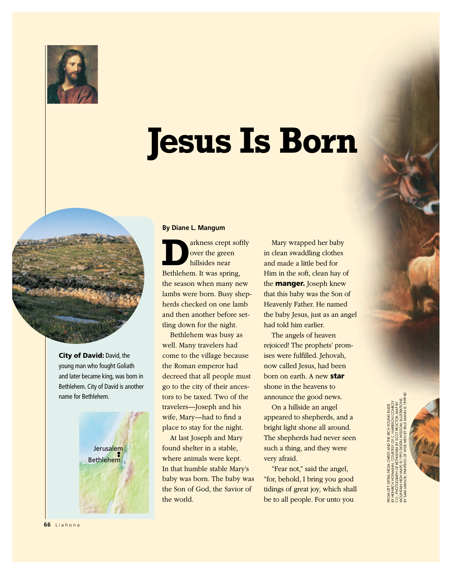

## **Jesus Is Born**



City of David: David, the young man who fought Goliath and later became king, was born in Bethlehem. City of David is another name for Bethlehem.



## **By Diane L. Mangum**

arkness crept softly over the green hillsides near Bethlehem. It was spring, the season when many new lambs were born. Busy shepherds checked on one lamb and then another before settling down for the night.

Bethlehem was busy as well. Many travelers had come to the village because the Roman emperor had decreed that all people must go to the city of their ancestors to be taxed. Two of the travelers—Joseph and his wife, Mary—had to find a place to stay for the night.

At last Joseph and Mary found shelter in a stable, where animals were kept. In that humble stable Mary's baby was born. The baby was the Son of God, the Savior of the world.

Mary wrapped her baby in clean swaddling clothes and made a little bed for Him in the soft, clean hay of the manger. Joseph knew that this baby was the Son of Heavenly Father. He named the baby Jesus, just as an angel had told him earlier.

The angels of heaven rejoiced! The prophets' promises were fulfilled. Jehovah, now called Jesus, had been born on earth. A new star shone in the heavens to announce the good news.

On a hillside an angel appeared to shepherds, and a bright light shone all around. The shepherds had never seen such a thing, and they were very afraid.

"Fear not," said the angel, "for, behold, I bring you good tidings of great joy, which shall be to all people. For unto you